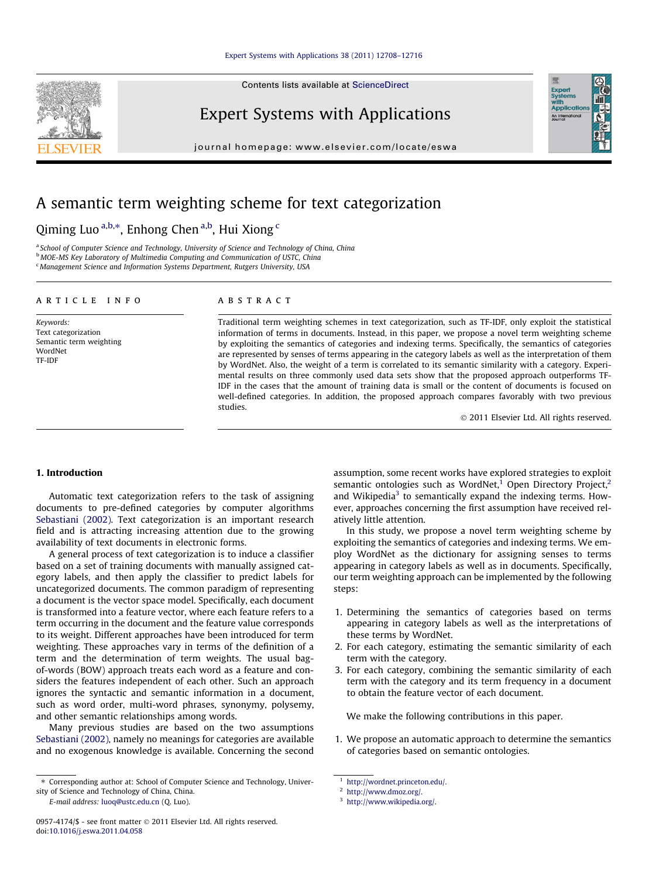Contents lists available at [ScienceDirect](http://www.sciencedirect.com/science/journal/09574174)

Expert Systems with Applications

journal homepage: [www.elsevier.com/locate/eswa](http://www.elsevier.com/locate/eswa)



# A semantic term weighting scheme for text categorization

# Qiming Luo <sup>a,b,\*</sup>, Enhong Chen <sup>a,b</sup>, Hui Xiong <sup>c</sup>

<sup>a</sup> School of Computer Science and Technology, University of Science and Technology of China, China **b MOE-MS Key Laboratory of Multimedia Computing and Communication of USTC, China** <sup>c</sup> Management Science and Information Systems Department, Rutgers University, USA

#### article info

Keywords: Text categorization Semantic term weighting WordNet TF-IDF

#### **ABSTRACT**

Traditional term weighting schemes in text categorization, such as TF-IDF, only exploit the statistical information of terms in documents. Instead, in this paper, we propose a novel term weighting scheme by exploiting the semantics of categories and indexing terms. Specifically, the semantics of categories are represented by senses of terms appearing in the category labels as well as the interpretation of them by WordNet. Also, the weight of a term is correlated to its semantic similarity with a category. Experimental results on three commonly used data sets show that the proposed approach outperforms TF-IDF in the cases that the amount of training data is small or the content of documents is focused on well-defined categories. In addition, the proposed approach compares favorably with two previous studies.

- 2011 Elsevier Ltd. All rights reserved.

## 1. Introduction

Automatic text categorization refers to the task of assigning documents to pre-defined categories by computer algorithms [Sebastiani \(2002\)](#page-8-0). Text categorization is an important research field and is attracting increasing attention due to the growing availability of text documents in electronic forms.

A general process of text categorization is to induce a classifier based on a set of training documents with manually assigned category labels, and then apply the classifier to predict labels for uncategorized documents. The common paradigm of representing a document is the vector space model. Specifically, each document is transformed into a feature vector, where each feature refers to a term occurring in the document and the feature value corresponds to its weight. Different approaches have been introduced for term weighting. These approaches vary in terms of the definition of a term and the determination of term weights. The usual bagof-words (BOW) approach treats each word as a feature and considers the features independent of each other. Such an approach ignores the syntactic and semantic information in a document, such as word order, multi-word phrases, synonymy, polysemy, and other semantic relationships among words.

Many previous studies are based on the two assumptions [Sebastiani \(2002\)](#page-8-0), namely no meanings for categories are available and no exogenous knowledge is available. Concerning the second

E-mail address: [luoq@ustc.edu.cn](mailto:luoq@ustc.edu.cn) (Q. Luo).

In this study, we propose a novel term weighting scheme by exploiting the semantics of categories and indexing terms. We employ WordNet as the dictionary for assigning senses to terms appearing in category labels as well as in documents. Specifically, our term weighting approach can be implemented by the following steps:

- 1. Determining the semantics of categories based on terms appearing in category labels as well as the interpretations of these terms by WordNet.
- 2. For each category, estimating the semantic similarity of each term with the category.
- 3. For each category, combining the semantic similarity of each term with the category and its term frequency in a document to obtain the feature vector of each document.

We make the following contributions in this paper.

1. We propose an automatic approach to determine the semantics of categories based on semantic ontologies.

<sup>⇑</sup> Corresponding author at: School of Computer Science and Technology, University of Science and Technology of China, China.

assumption, some recent works have explored strategies to exploit semantic ontologies such as WordNet, $1$  Open Directory Project, $2$ and Wikipedia<sup>3</sup> to semantically expand the indexing terms. However, approaches concerning the first assumption have received relatively little attention.

<http://wordnet.princeton.edu/>.

<sup>2</sup> [http://www.dmoz.org/.](http://www.dmoz.org/)

<sup>3</sup> <http://www.wikipedia.org/>.

<sup>0957-4174/\$ -</sup> see front matter © 2011 Elsevier Ltd. All rights reserved. doi:[10.1016/j.eswa.2011.04.058](http://dx.doi.org/10.1016/j.eswa.2011.04.058)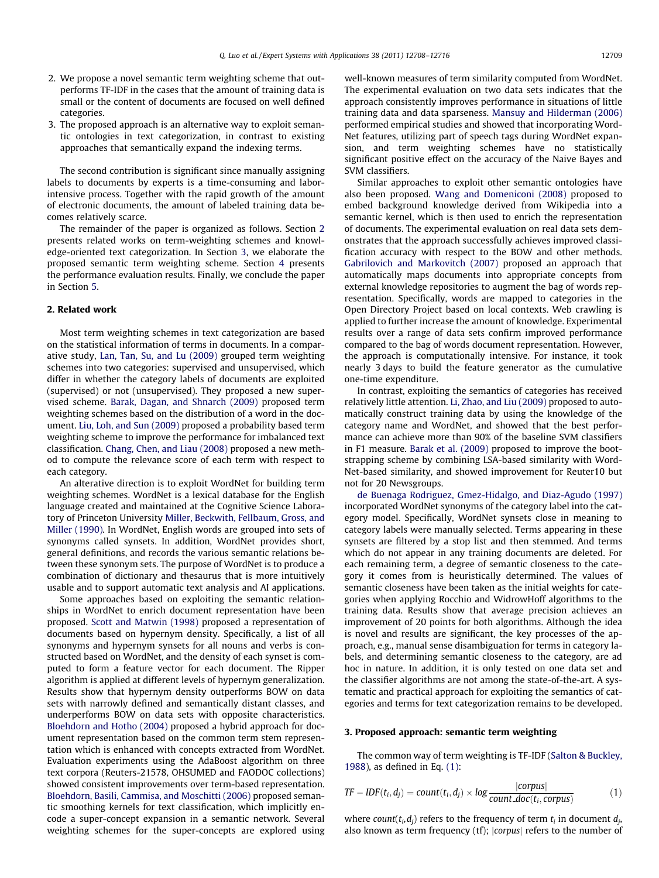- 2. We propose a novel semantic term weighting scheme that outperforms TF-IDF in the cases that the amount of training data is small or the content of documents are focused on well defined categories.
- 3. The proposed approach is an alternative way to exploit semantic ontologies in text categorization, in contrast to existing approaches that semantically expand the indexing terms.

The second contribution is significant since manually assigning labels to documents by experts is a time-consuming and laborintensive process. Together with the rapid growth of the amount of electronic documents, the amount of labeled training data becomes relatively scarce.

The remainder of the paper is organized as follows. Section 2 presents related works on term-weighting schemes and knowledge-oriented text categorization. In Section 3, we elaborate the proposed semantic term weighting scheme. Section [4](#page-4-0) presents the performance evaluation results. Finally, we conclude the paper in Section [5](#page-8-0).

# 2. Related work

Most term weighting schemes in text categorization are based on the statistical information of terms in documents. In a comparative study, [Lan, Tan, Su, and Lu \(2009\)](#page-8-0) grouped term weighting schemes into two categories: supervised and unsupervised, which differ in whether the category labels of documents are exploited (supervised) or not (unsupervised). They proposed a new supervised scheme. [Barak, Dagan, and Shnarch \(2009\)](#page-8-0) proposed term weighting schemes based on the distribution of a word in the document. [Liu, Loh, and Sun \(2009\)](#page-8-0) proposed a probability based term weighting scheme to improve the performance for imbalanced text classification. [Chang, Chen, and Liau \(2008\)](#page-8-0) proposed a new method to compute the relevance score of each term with respect to each category.

An alterative direction is to exploit WordNet for building term weighting schemes. WordNet is a lexical database for the English language created and maintained at the Cognitive Science Laboratory of Princeton University [Miller, Beckwith, Fellbaum, Gross, and](#page-8-0) [Miller \(1990\).](#page-8-0) In WordNet, English words are grouped into sets of synonyms called synsets. In addition, WordNet provides short, general definitions, and records the various semantic relations between these synonym sets. The purpose of WordNet is to produce a combination of dictionary and thesaurus that is more intuitively usable and to support automatic text analysis and AI applications.

Some approaches based on exploiting the semantic relationships in WordNet to enrich document representation have been proposed. [Scott and Matwin \(1998\)](#page-8-0) proposed a representation of documents based on hypernym density. Specifically, a list of all synonyms and hypernym synsets for all nouns and verbs is constructed based on WordNet, and the density of each synset is computed to form a feature vector for each document. The Ripper algorithm is applied at different levels of hypernym generalization. Results show that hypernym density outperforms BOW on data sets with narrowly defined and semantically distant classes, and underperforms BOW on data sets with opposite characteristics. [Bloehdorn and Hotho \(2004\)](#page-8-0) proposed a hybrid approach for document representation based on the common term stem representation which is enhanced with concepts extracted from WordNet. Evaluation experiments using the AdaBoost algorithm on three text corpora (Reuters-21578, OHSUMED and FAODOC collections) showed consistent improvements over term-based representation. [Bloehdorn, Basili, Cammisa, and Moschitti \(2006\)](#page-8-0) proposed semantic smoothing kernels for text classification, which implicitly encode a super-concept expansion in a semantic network. Several weighting schemes for the super-concepts are explored using well-known measures of term similarity computed from WordNet. The experimental evaluation on two data sets indicates that the approach consistently improves performance in situations of little training data and data sparseness. [Mansuy and Hilderman \(2006\)](#page-8-0) performed empirical studies and showed that incorporating Word-Net features, utilizing part of speech tags during WordNet expansion, and term weighting schemes have no statistically significant positive effect on the accuracy of the Naive Bayes and SVM classifiers.

Similar approaches to exploit other semantic ontologies have also been proposed. [Wang and Domeniconi \(2008\)](#page-8-0) proposed to embed background knowledge derived from Wikipedia into a semantic kernel, which is then used to enrich the representation of documents. The experimental evaluation on real data sets demonstrates that the approach successfully achieves improved classification accuracy with respect to the BOW and other methods. [Gabrilovich and Markovitch \(2007\)](#page-8-0) proposed an approach that automatically maps documents into appropriate concepts from external knowledge repositories to augment the bag of words representation. Specifically, words are mapped to categories in the Open Directory Project based on local contexts. Web crawling is applied to further increase the amount of knowledge. Experimental results over a range of data sets confirm improved performance compared to the bag of words document representation. However, the approach is computationally intensive. For instance, it took nearly 3 days to build the feature generator as the cumulative one-time expenditure.

In contrast, exploiting the semantics of categories has received relatively little attention. [Li, Zhao, and Liu \(2009\)](#page-8-0) proposed to automatically construct training data by using the knowledge of the category name and WordNet, and showed that the best performance can achieve more than 90% of the baseline SVM classifiers in F1 measure. [Barak et al. \(2009\)](#page-8-0) proposed to improve the bootstrapping scheme by combining LSA-based similarity with Word-Net-based similarity, and showed improvement for Reuter10 but not for 20 Newsgroups.

[de Buenaga Rodriguez, Gmez-Hidalgo, and Diaz-Agudo \(1997\)](#page-8-0) incorporated WordNet synonyms of the category label into the category model. Specifically, WordNet synsets close in meaning to category labels were manually selected. Terms appearing in these synsets are filtered by a stop list and then stemmed. And terms which do not appear in any training documents are deleted. For each remaining term, a degree of semantic closeness to the category it comes from is heuristically determined. The values of semantic closeness have been taken as the initial weights for categories when applying Rocchio and WidrowHoff algorithms to the training data. Results show that average precision achieves an improvement of 20 points for both algorithms. Although the idea is novel and results are significant, the key processes of the approach, e.g., manual sense disambiguation for terms in category labels, and determining semantic closeness to the category, are ad hoc in nature. In addition, it is only tested on one data set and the classifier algorithms are not among the state-of-the-art. A systematic and practical approach for exploiting the semantics of categories and terms for text categorization remains to be developed.

#### 3. Proposed approach: semantic term weighting

The common way of term weighting is TF-IDF [\(Salton & Buckley,](#page-8-0) [1988\)](#page-8-0), as defined in Eq. (1):

$$
TF - IDF(t_i, d_j) = count(t_i, d_j) \times log \frac{|corpus|}{count\_doc(t_i, corpus)}
$$
(1)

where count( $t_i, d_i$ ) refers to the frequency of term  $t_i$  in document  $d_i$ , also known as term frequency (tf); |corpus| refers to the number of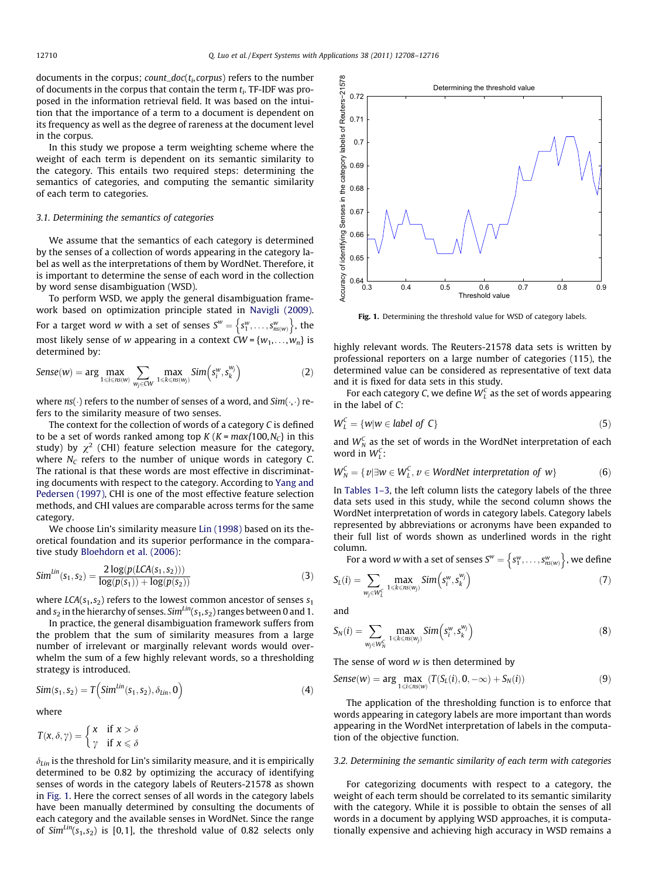documents in the corpus;  $count\_doc(t_i, corpus)$  refers to the number of documents in the corpus that contain the term  $t_i$ . TF-IDF was proposed in the information retrieval field. It was based on the intuition that the importance of a term to a document is dependent on its frequency as well as the degree of rareness at the document level in the corpus.

In this study we propose a term weighting scheme where the weight of each term is dependent on its semantic similarity to the category. This entails two required steps: determining the semantics of categories, and computing the semantic similarity of each term to categories.

# 3.1. Determining the semantics of categories

We assume that the semantics of each category is determined by the senses of a collection of words appearing in the category label as well as the interpretations of them by WordNet. Therefore, it is important to determine the sense of each word in the collection by word sense disambiguation (WSD).

To perform WSD, we apply the general disambiguation framework based on optimization principle stated in [Navigli \(2009\).](#page-8-0) For a target word w with a set of senses  $S^w = \{s_1^w, \ldots, s_{ns(w)}^w\}$ , the most likely sense of  $w$  appearing in a context  $CW$  =  $\{w_1,\ldots,w_n\}$  is determined by:

$$
Sense(w) = \arg\max_{1 \le i \le n s(w)} \sum_{w_j \in CW} \max_{1 \le k \le n s(w_j)} Sim(s_i^w, s_k^{w_j})
$$
(2)

where  $ns(\cdot)$  refers to the number of senses of a word, and  $Sim(\cdot, \cdot)$  refers to the similarity measure of two senses.

The context for the collection of words of a category C is defined to be a set of words ranked among top  $K (K = max\{100, N_C\})$  in this study) by  $\chi^2$  (CHI) feature selection measure for the category, where  $N_c$  refers to the number of unique words in category C. The rational is that these words are most effective in discriminating documents with respect to the category. According to [Yang and](#page-8-0) [Pedersen \(1997\)](#page-8-0), CHI is one of the most effective feature selection methods, and CHI values are comparable across terms for the same category.

We choose Lin's similarity measure [Lin \(1998\)](#page-8-0) based on its theoretical foundation and its superior performance in the comparative study [Bloehdorn et al. \(2006\)](#page-8-0):

$$
Sim^{Lin}(s_1, s_2) = \frac{2 \log(p(LCA(s_1, s_2)))}{\log(p(s_1)) + \log(p(s_2))}
$$
\n(3)

where  $LCA(s_1, s_2)$  refers to the lowest common ancestor of senses  $s_1$ and  $s_2$  in the hierarchy of senses. Sim<sup>Lin</sup>( $s_1, s_2$ ) ranges between 0 and 1.

In practice, the general disambiguation framework suffers from the problem that the sum of similarity measures from a large number of irrelevant or marginally relevant words would overwhelm the sum of a few highly relevant words, so a thresholding strategy is introduced.

$$
Sim(s_1, s_2) = T\left(Sim^{Lin}(s_1, s_2), \delta_{Lin}, 0\right)
$$
 (4)

where

$$
T(x, \delta, \gamma) = \begin{cases} x & \text{if } x > \delta \\ \gamma & \text{if } x \leq \delta \end{cases}
$$

 $\delta_{lin}$  is the threshold for Lin's similarity measure, and it is empirically determined to be 0.82 by optimizing the accuracy of identifying senses of words in the category labels of Reuters-21578 as shown in Fig. 1. Here the correct senses of all words in the category labels have been manually determined by consulting the documents of each category and the available senses in WordNet. Since the range of  $Sim<sup>Lin</sup>(s<sub>1</sub>, s<sub>2</sub>)$  is [0,1], the threshold value of 0.82 selects only



Fig. 1. Determining the threshold value for WSD of category labels.

highly relevant words. The Reuters-21578 data sets is written by professional reporters on a large number of categories (115), the determined value can be considered as representative of text data and it is fixed for data sets in this study.

For each category C, we define  $W<sub>L</sub><sup>C</sup>$  as the set of words appearing in the label of C:

$$
W_L^C = \{w | w \in label \ of \ C\} \tag{5}
$$

and  $W_N^C$  as the set of words in the WordNet interpretation of each word in  $W_L^C$ :

$$
W_N^C = \{v | \exists w \in W_L^C, v \in WordNet\,\,interpretation\,\,of\,\,w\} \tag{6}
$$

In [Tables 1–3](#page-3-0), the left column lists the category labels of the three data sets used in this study, while the second column shows the WordNet interpretation of words in category labels. Category labels represented by abbreviations or acronyms have been expanded to their full list of words shown as underlined words in the right column.

umn.<br>For a word w with a set of senses  $S^w = \left\{S^w_1, \ldots, S^w_{n_S(w)}\right\}$ , we define

$$
S_L(i) = \sum_{w_j \in W_L^c} \max_{1 \le k \le ns(w_j)} Sim(s_i^w, s_k^{w_j})
$$
\n(7)

and

$$
S_N(i) = \sum_{w_j \in W_N^c} \max_{1 \leq k \leq nS(w_j)} Sim(s_i^w, s_k^{w_j})
$$
(8)

The sense of word w is then determined by

$$
Sense(w) = \arg \max_{1 \le i \le ns(w)} (T(S_L(i), 0, -\infty) + S_N(i))
$$
\n(9)

The application of the thresholding function is to enforce that words appearing in category labels are more important than words appearing in the WordNet interpretation of labels in the computation of the objective function.

#### 3.2. Determining the semantic similarity of each term with categories

For categorizing documents with respect to a category, the weight of each term should be correlated to its semantic similarity with the category. While it is possible to obtain the senses of all words in a document by applying WSD approaches, it is computationally expensive and achieving high accuracy in WSD remains a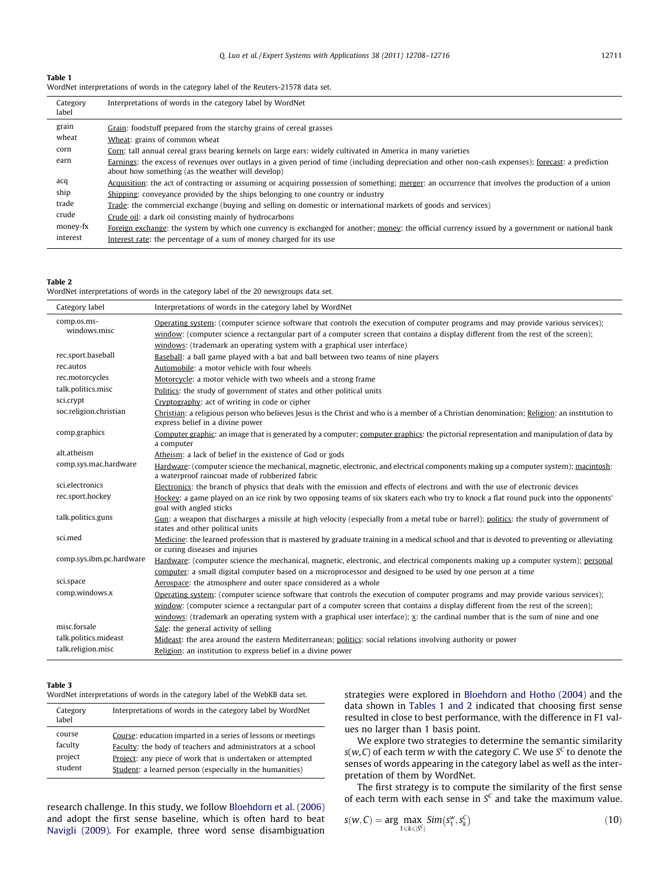# <span id="page-3-0"></span>Table 1

| WordNet interpretations of words in the category label of the Reuters-21578 data set. |  |  |
|---------------------------------------------------------------------------------------|--|--|

| Category<br>label | Interpretations of words in the category label by WordNet                                                                                                                                                 |
|-------------------|-----------------------------------------------------------------------------------------------------------------------------------------------------------------------------------------------------------|
| grain             | Grain: foodstuff prepared from the starchy grains of cereal grasses                                                                                                                                       |
| wheat             | Wheat: grains of common wheat                                                                                                                                                                             |
| corn              | Corn: tall annual cereal grass bearing kernels on large ears: widely cultivated in America in many varieties                                                                                              |
| earn              | Earnings: the excess of revenues over outlays in a given period of time (including depreciation and other non-cash expenses); forecast: a prediction<br>about how something (as the weather will develop) |
| acq               | Acquisition: the act of contracting or assuming or acquiring possession of something; merger: an occurrence that involves the production of a union                                                       |
| ship              | Shipping: conveyance provided by the ships belonging to one country or industry                                                                                                                           |
| trade             | Trade: the commercial exchange (buying and selling on domestic or international markets of goods and services)                                                                                            |
| crude             | Crude oil: a dark oil consisting mainly of hydrocarbons                                                                                                                                                   |
| money-fx          | Foreign exchange: the system by which one currency is exchanged for another; money: the official currency issued by a government or national bank                                                         |
| interest          | Interest rate: the percentage of a sum of money charged for its use                                                                                                                                       |

# Table 2

WordNet interpretations of words in the category label of the 20 newsgroups data set.

| Category label           | Interpretations of words in the category label by WordNet                                                                                                                               |
|--------------------------|-----------------------------------------------------------------------------------------------------------------------------------------------------------------------------------------|
| comp.os.ms-              | Operating system: (computer science software that controls the execution of computer programs and may provide various services);                                                        |
| windows.misc             | window: (computer science a rectangular part of a computer screen that contains a display different from the rest of the screen);                                                       |
|                          | windows: (trademark an operating system with a graphical user interface)                                                                                                                |
| rec.sport.baseball       | Baseball: a ball game played with a bat and ball between two teams of nine players                                                                                                      |
| rec.autos                | Automobile: a motor vehicle with four wheels                                                                                                                                            |
| rec.motorcycles          | Motorcycle: a motor vehicle with two wheels and a strong frame                                                                                                                          |
| talk.politics.misc       | Politics: the study of government of states and other political units                                                                                                                   |
| sci.crypt                | Cryptography: act of writing in code or cipher                                                                                                                                          |
| soc.religion.christian   | Christian: a religious person who believes Jesus is the Christ and who is a member of a Christian denomination; Religion: an institution to<br>express belief in a divine power         |
| comp.graphics            | Computer graphic; an image that is generated by a computer; computer graphics: the pictorial representation and manipulation of data by<br>a computer                                   |
| alt.atheism              | Atheism: a lack of belief in the existence of God or gods                                                                                                                               |
| comp.sys.mac.hardware    | Hardware: (computer science the mechanical, magnetic, electronic, and electrical components making up a computer system); macintosh:<br>a waterproof raincoat made of rubberized fabric |
| sci.electronics          | Electronics: the branch of physics that deals with the emission and effects of electrons and with the use of electronic devices                                                         |
| rec.sport.hockey         | Hockey: a game played on an ice rink by two opposing teams of six skaters each who try to knock a flat round puck into the opponents'<br>goal with angled sticks                        |
| talk.politics.guns       | Gun: a weapon that discharges a missile at high velocity (especially from a metal tube or barrel); politics: the study of government of<br>states and other political units             |
| sci.med                  | Medicine: the learned profession that is mastered by graduate training in a medical school and that is devoted to preventing or alleviating<br>or curing diseases and injuries          |
| comp.sys.ibm.pc.hardware | Hardware: (computer science the mechanical, magnetic, electronic, and electrical components making up a computer system); personal                                                      |
|                          | computer: a small digital computer based on a microprocessor and designed to be used by one person at a time                                                                            |
| sci.space                | Aerospace: the atmosphere and outer space considered as a whole                                                                                                                         |
| comp.windows.x           | Operating system: (computer science software that controls the execution of computer programs and may provide various services);                                                        |
|                          | window: (computer science a rectangular part of a computer screen that contains a display different from the rest of the screen);                                                       |
|                          | windows: (trademark an operating system with a graphical user interface); x; the cardinal number that is the sum of nine and one                                                        |
| misc.forsale             | Sale: the general activity of selling                                                                                                                                                   |
| talk.politics.mideast    | Mideast: the area around the eastern Mediterranean; politics: social relations involving authority or power                                                                             |
| talk.religion.misc       | Religion: an institution to express belief in a divine power                                                                                                                            |

# Table 3

WordNet interpretations of words in the category label of the WebKB data set.

| Category<br>label                       | Interpretations of words in the category label by WordNet                                                                                                                                                                                               |
|-----------------------------------------|---------------------------------------------------------------------------------------------------------------------------------------------------------------------------------------------------------------------------------------------------------|
| course<br>faculty<br>project<br>student | Course: education imparted in a series of lessons or meetings<br>Faculty: the body of teachers and administrators at a school<br>Project: any piece of work that is undertaken or attempted<br>Student: a learned person (especially in the humanities) |
|                                         |                                                                                                                                                                                                                                                         |

research challenge. In this study, we follow [Bloehdorn et al. \(2006\)](#page-8-0) and adopt the first sense baseline, which is often hard to beat [Navigli \(2009\).](#page-8-0) For example, three word sense disambiguation

strategies were explored in [Bloehdorn and Hotho \(2004\)](#page-8-0) and the data shown in Tables 1 and 2 indicated that choosing first sense resulted in close to best performance, with the difference in F1 values no larger than 1 basis point.

We explore two strategies to determine the semantic similarity  $s(w, C)$  of each term w with the category C. We use  $S<sup>C</sup>$  to denote the senses of words appearing in the category label as well as the interpretation of them by WordNet.

The first strategy is to compute the similarity of the first sense of each term with each sense in  $S^c$  and take the maximum value.

$$
s(w, C) = \arg\max_{1 \le k \le |S^c|} Sim(s_1^w, s_k^C)
$$
\n(10)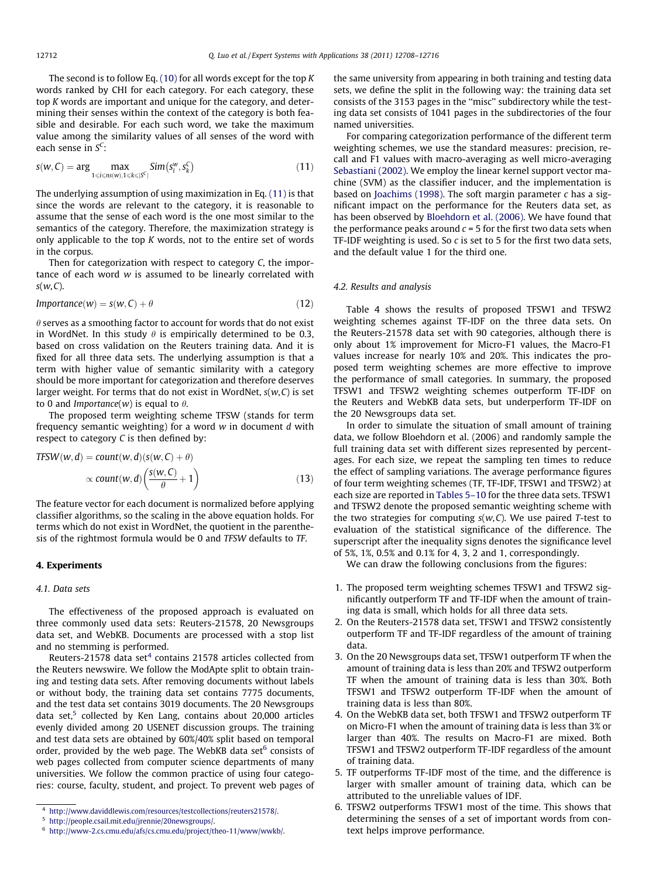<span id="page-4-0"></span>The second is to follow Eq.  $(10)$  for all words except for the top K words ranked by CHI for each category. For each category, these top K words are important and unique for the category, and determining their senses within the context of the category is both feasible and desirable. For each such word, we take the maximum value among the similarity values of all senses of the word with each sense in  $S^C$ :

$$
s(w, C) = \arg\max_{1 \leq i \leq ns(w), 1 \leq k \leq |\mathcal{S}^c|} Sim(s_i^w, s_k^C)
$$
\n(11)

The underlying assumption of using maximization in Eq. (11) is that since the words are relevant to the category, it is reasonable to assume that the sense of each word is the one most similar to the semantics of the category. Therefore, the maximization strategy is only applicable to the top K words, not to the entire set of words in the corpus.

Then for categorization with respect to category C, the importance of each word w is assumed to be linearly correlated with  $s(w, C)$ .

$$
Importance(w) = s(w, C) + \theta
$$
\n(12)

 $\theta$  serves as a smoothing factor to account for words that do not exist in WordNet. In this study  $\theta$  is empirically determined to be 0.3, based on cross validation on the Reuters training data. And it is fixed for all three data sets. The underlying assumption is that a term with higher value of semantic similarity with a category should be more important for categorization and therefore deserves larger weight. For terms that do not exist in WordNet,  $s(w, C)$  is set to 0 and *Importance*(w) is equal to  $\theta$ .

The proposed term weighting scheme TFSW (stands for term frequency semantic weighting) for a word  $w$  in document  $d$  with respect to category C is then defined by:

$$
TFSW(w, d) = count(w, d)(s(w, C) + \theta)
$$

$$
\propto \text{count}(w, d) \left( \frac{s(w, C)}{\theta} + 1 \right) \tag{13}
$$

The feature vector for each document is normalized before applying classifier algorithms, so the scaling in the above equation holds. For terms which do not exist in WordNet, the quotient in the parenthesis of the rightmost formula would be 0 and TFSW defaults to TF.

#### 4. Experiments

# 4.1. Data sets

The effectiveness of the proposed approach is evaluated on three commonly used data sets: Reuters-21578, 20 Newsgroups data set, and WebKB. Documents are processed with a stop list and no stemming is performed.

Reuters-21578 data set $4$  contains 21578 articles collected from the Reuters newswire. We follow the ModApte split to obtain training and testing data sets. After removing documents without labels or without body, the training data set contains 7775 documents, and the test data set contains 3019 documents. The 20 Newsgroups data set, $5$  collected by Ken Lang, contains about 20,000 articles evenly divided among 20 USENET discussion groups. The training and test data sets are obtained by 60%/40% split based on temporal order, provided by the web page. The WebKB data set<sup>6</sup> consists of web pages collected from computer science departments of many universities. We follow the common practice of using four categories: course, faculty, student, and project. To prevent web pages of the same university from appearing in both training and testing data sets, we define the split in the following way: the training data set consists of the 3153 pages in the ''misc'' subdirectory while the testing data set consists of 1041 pages in the subdirectories of the four named universities.

For comparing categorization performance of the different term weighting schemes, we use the standard measures: precision, recall and F1 values with macro-averaging as well micro-averaging [Sebastiani \(2002\)](#page-8-0). We employ the linear kernel support vector machine (SVM) as the classifier inducer, and the implementation is based on [Joachims \(1998\)](#page-8-0). The soft margin parameter  $c$  has a significant impact on the performance for the Reuters data set, as has been observed by [Bloehdorn et al. \(2006\)](#page-8-0). We have found that the performance peaks around  $c = 5$  for the first two data sets when TF-IDF weighting is used. So  $c$  is set to 5 for the first two data sets, and the default value 1 for the third one.

#### 4.2. Results and analysis

Table 4 shows the results of proposed TFSW1 and TFSW2 weighting schemes against TF-IDF on the three data sets. On the Reuters-21578 data set with 90 categories, although there is only about 1% improvement for Micro-F1 values, the Macro-F1 values increase for nearly 10% and 20%. This indicates the proposed term weighting schemes are more effective to improve the performance of small categories. In summary, the proposed TFSW1 and TFSW2 weighting schemes outperform TF-IDF on the Reuters and WebKB data sets, but underperform TF-IDF on the 20 Newsgroups data set.

In order to simulate the situation of small amount of training data, we follow Bloehdorn et al. (2006) and randomly sample the full training data set with different sizes represented by percentages. For each size, we repeat the sampling ten times to reduce the effect of sampling variations. The average performance figures of four term weighting schemes (TF, TF-IDF, TFSW1 and TFSW2) at each size are reported in [Tables 5–10](#page-5-0) for the three data sets. TFSW1 and TFSW2 denote the proposed semantic weighting scheme with the two strategies for computing  $s(w, C)$ . We use paired T-test to evaluation of the statistical significance of the difference. The superscript after the inequality signs denotes the significance level of 5%, 1%, 0.5% and 0.1% for 4, 3, 2 and 1, correspondingly.

We can draw the following conclusions from the figures:

- 1. The proposed term weighting schemes TFSW1 and TFSW2 significantly outperform TF and TF-IDF when the amount of training data is small, which holds for all three data sets.
- 2. On the Reuters-21578 data set, TFSW1 and TFSW2 consistently outperform TF and TF-IDF regardless of the amount of training data.
- 3. On the 20 Newsgroups data set, TFSW1 outperform TF when the amount of training data is less than 20% and TFSW2 outperform TF when the amount of training data is less than 30%. Both TFSW1 and TFSW2 outperform TF-IDF when the amount of training data is less than 80%.
- 4. On the WebKB data set, both TFSW1 and TFSW2 outperform TF on Micro-F1 when the amount of training data is less than 3% or larger than 40%. The results on Macro-F1 are mixed. Both TFSW1 and TFSW2 outperform TF-IDF regardless of the amount of training data.
- 5. TF outperforms TF-IDF most of the time, and the difference is larger with smaller amount of training data, which can be attributed to the unreliable values of IDF.
- 6. TFSW2 outperforms TFSW1 most of the time. This shows that determining the senses of a set of important words from context helps improve performance.

<sup>4</sup> <http://www.daviddlewis.com/resources/testcollections/reuters21578/>.

<sup>5</sup> [http://people.csail.mit.edu/jrennie/20newsgroups/.](http://people.csail.mit.edu/jrennie/20newsgroups/)

<sup>6</sup> <http://www-2.cs.cmu.edu/afs/cs.cmu.edu/project/theo-11/www/wwkb/>.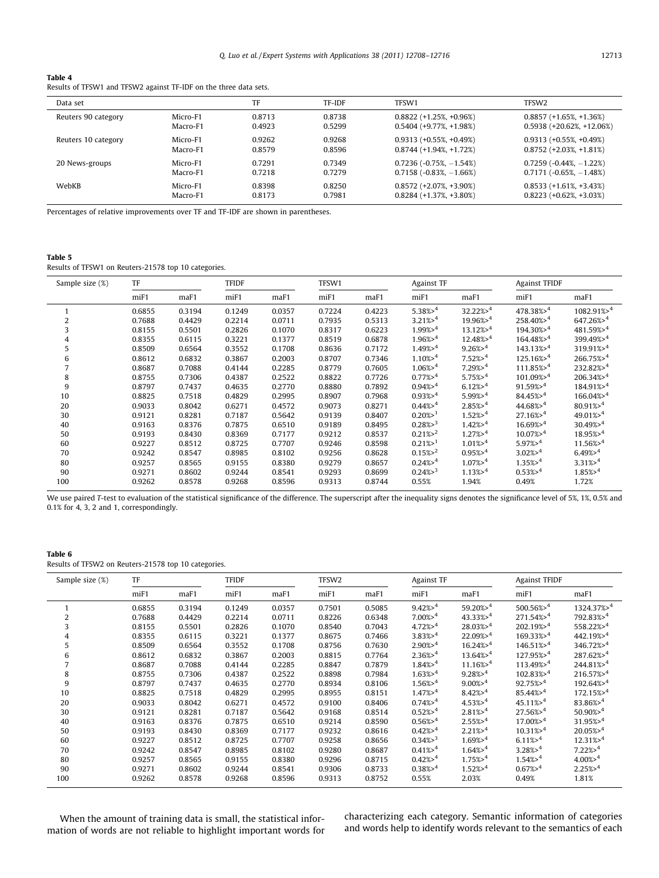# <span id="page-5-0"></span>Table 4

Results of TFSW1 and TFSW2 against TF-IDF on the three data sets.

| Data set            |          | TF     | <b>TF-IDF</b> | TFSW1                       | TFSW <sub>2</sub>             |
|---------------------|----------|--------|---------------|-----------------------------|-------------------------------|
| Reuters 90 category | Micro-F1 | 0.8713 | 0.8738        | $0.8822 (+1.25\%, +0.96\%)$ | $0.8857 (+1.65\% +1.36\%)$    |
|                     | Macro-F1 | 0.4923 | 0.5299        | $0.5404 (+9.77\%, +1.98\%)$ | $0.5938 (+20.62\%, +12.06\%)$ |
| Reuters 10 category | Micro-F1 | 0.9262 | 0.9268        | $0.9313 (+0.55\%, +0.49\%)$ | $0.9313 (+0.55\%, +0.49\%)$   |
|                     | Macro-F1 | 0.8579 | 0.8596        | $0.8744 (+1.94\%, +1.72\%)$ | $0.8752 (+2.03\%, +1.81\%)$   |
| 20 News-groups      | Micro-F1 | 0.7291 | 0.7349        | $0.7236(-0.75\%, -1.54\%)$  | $0.7259(-0.44\%,-1.22\%)$     |
|                     | Macro-F1 | 0.7218 | 0.7279        | $0.7158(-0.83\%,-1.66\%)$   | $0.7171 (-0.65\% -1.48\%)$    |
| WebKB               | Micro-F1 | 0.8398 | 0.8250        | $0.8572 (+2.07\%, +3.90\%)$ | $0.8533 (+1.61\% +3.43\%)$    |
|                     | Macro-F1 | 0.8173 | 0.7981        | $0.8284 (+1.37\%, +3.80\%)$ | $0.8223 (+0.62\%, +3.03\%)$   |

Percentages of relative improvements over TF and TF-IDF are shown in parentheses.

#### Table 5

Results of TFSW1 on Reuters-21578 top 10 categories.

| Sample size (%) | TF      |        | <b>TFIDF</b> |        |        |        | Against TF            |                        | <b>Against TFIDF</b>    |                          |
|-----------------|---------|--------|--------------|--------|--------|--------|-----------------------|------------------------|-------------------------|--------------------------|
|                 | $m$ iF1 | maF1   | miF1         | maF1   | miF1   | maF1   | miF1                  | maF1                   | miF1                    | maF1                     |
|                 | 0.6855  | 0.3194 | 0.1249       | 0.0357 | 0.7224 | 0.4223 | $5.38\frac{3}{2}$     | $32.22\% > ^4$         | $478.38\%$ <sup>4</sup> | $1082.91\%$ <sup>4</sup> |
| 2               | 0.7688  | 0.4429 | 0.2214       | 0.0711 | 0.7935 | 0.5313 | $3.21\% > 4$          | $19.96\%$ <sup>4</sup> | $258.40\%$ <sup>4</sup> | $647.26\%$ <sup>4</sup>  |
| 3               | 0.8155  | 0.5501 | 0.2826       | 0.1070 | 0.8317 | 0.6223 | 1.99% > 4             | $13.12\% > 4$          | $194.30\% > 4$          | 481.59%>4                |
| 4               | 0.8355  | 0.6115 | 0.3221       | 0.1377 | 0.8519 | 0.6878 | $1.96\% > 4$          | $12.48\% > 4$          | $164.48\% > 4$          | 399.49%>4                |
| 5               | 0.8509  | 0.6564 | 0.3552       | 0.1708 | 0.8636 | 0.7172 | $1.49\%$ <sup>4</sup> | $9.26\%$ <sup>4</sup>  | $143.13\%$ <sup>4</sup> | $319.91\%$ <sup>4</sup>  |
| 6               | 0.8612  | 0.6832 | 0.3867       | 0.2003 | 0.8707 | 0.7346 | $1.10\%$ <sup>4</sup> | $7.52\%$ <sup>4</sup>  | $125.16\%$ <sup>4</sup> | $266.75\%$ <sup>4</sup>  |
| 7               | 0.8687  | 0.7088 | 0.4144       | 0.2285 | 0.8779 | 0.7605 | $1.06\%$ <sup>4</sup> | $7.29\% > 4$           | $111.85\%$ <sup>4</sup> | 232.82%>4                |
| 8               | 0.8755  | 0.7306 | 0.4387       | 0.2522 | 0.8822 | 0.7726 | $0.77\%$ <sup>4</sup> | $5.75%^{4}$            | $101.09\%$ <sup>4</sup> | $206.34\%$ <sup>4</sup>  |
| 9               | 0.8797  | 0.7437 | 0.4635       | 0.2770 | 0.8880 | 0.7892 | $0.94\% > 4$          | $6.12\% > 4$           | $91.59%^{4}$            | 184.91%>4                |
| 10              | 0.8825  | 0.7518 | 0.4829       | 0.2995 | 0.8907 | 0.7968 | $0.93\%$ <sup>4</sup> | $5.99%^{4}$            | $84.45\% > 4$           | $166.04\% > 4$           |
| 20              | 0.9033  | 0.8042 | 0.6271       | 0.4572 | 0.9073 | 0.8271 | $0.44\% > 4$          | $2.85\% > 4$           | $44.68\% > 4$           | $80.91\% > 4$            |
| 30              | 0.9121  | 0.8281 | 0.7187       | 0.5642 | 0.9139 | 0.8407 | $0.20\%$ <sup>1</sup> | $1.52\%$ <sup>4</sup>  | $27.16\% > 4$           | $49.01\%$ <sup>4</sup>   |
| 40              | 0.9163  | 0.8376 | 0.7875       | 0.6510 | 0.9189 | 0.8495 | $0.28\%$ <sup>3</sup> | $1.42\%$ <sup>4</sup>  | $16.69\%$ <sup>4</sup>  | 30.49% > 4               |
| 50              | 0.9193  | 0.8430 | 0.8369       | 0.7177 | 0.9212 | 0.8537 | $0.21\%$ <sup>2</sup> | $1.27\% > ^4$          | $10.07\%$ <sup>4</sup>  | $18.95\%$ <sup>4</sup>   |
| 60              | 0.9227  | 0.8512 | 0.8725       | 0.7707 | 0.9246 | 0.8598 | $0.21\%$ <sup>1</sup> | $1.01\% > 4$           | $5.97\% > 4$            | $11.56\% > 4$            |
| 70              | 0.9242  | 0.8547 | 0.8985       | 0.8102 | 0.9256 | 0.8628 | $0.15\%$ <sup>2</sup> | $0.95%$ <sup>4</sup>   | $3.02\% > 4$            | $6.49%^{4}$              |
| 80              | 0.9257  | 0.8565 | 0.9155       | 0.8380 | 0.9279 | 0.8657 | $0.24\% > 4$          | $1.07\% > 4$           | $1.35\% > 4$            | $3.31\% > 4$             |
| 90              | 0.9271  | 0.8602 | 0.9244       | 0.8541 | 0.9293 | 0.8699 | $0.24\frac{8}{3}$     | 1.13% > 4              | $0.53\% > 4$            | $1.85\% > 4$             |
| 100             | 0.9262  | 0.8578 | 0.9268       | 0.8596 | 0.9313 | 0.8744 | 0.55%                 | 1.94%                  | 0.49%                   | 1.72%                    |

We use paired T-test to evaluation of the statistical significance of the difference. The superscript after the inequality signs denotes the significance level of 5%, 1%, 0.5% and 0.1% for 4, 3, 2 and 1, correspondingly.

# Table 6

Results of TFSW2 on Reuters-21578 top 10 categories.

| Sample size (%) | TF                            |        | <b>TFIDF</b> |        | TFSW <sub>2</sub> |        | Against TF            |                        | <b>Against TFIDF</b>    |                         |
|-----------------|-------------------------------|--------|--------------|--------|-------------------|--------|-----------------------|------------------------|-------------------------|-------------------------|
|                 | m <sub>i</sub> F <sub>1</sub> | maF1   | $m$ iF1      | maF1   | miF1              | maF1   | miF1                  | maF1                   | miF1                    | maF1                    |
|                 | 0.6855                        | 0.3194 | 0.1249       | 0.0357 | 0.7501            | 0.5085 | $9.42\% > 4$          | $59.20\% > 4$          | $500.56\%$ <sup>4</sup> | $1324.37\%4$            |
| 2               | 0.7688                        | 0.4429 | 0.2214       | 0.0711 | 0.8226            | 0.6348 | $7.00\%$ <sup>4</sup> | $43.33\%$ <sup>4</sup> | $271.54\%$ <sup>4</sup> | $792.83\%$ <sup>4</sup> |
| 3               | 0.8155                        | 0.5501 | 0.2826       | 0.1070 | 0.8540            | 0.7043 | $4.72\%$ <sup>4</sup> | $28.03\%$ <sup>4</sup> | $202.19\%$ <sup>4</sup> | $558.22\%$ <sup>4</sup> |
| 4               | 0.8355                        | 0.6115 | 0.3221       | 0.1377 | 0.8675            | 0.7466 | $3.83\% > 4$          | $22.09%^{4}$           | $169.33\%$ <sup>4</sup> | $442.19\%$ <sup>4</sup> |
| 5               | 0.8509                        | 0.6564 | 0.3552       | 0.1708 | 0.8756            | 0.7630 | $2.90\% > 4$          | $16.24\% > 4$          | $146.51\%$ <sup>4</sup> | $346.72\%$ <sup>4</sup> |
| 6               | 0.8612                        | 0.6832 | 0.3867       | 0.2003 | 0.8815            | 0.7764 | $2.36\% > 4$          | $13.64\% > 4$          | $127.95\% > 4$          | 287.62%>4               |
|                 | 0.8687                        | 0.7088 | 0.4144       | 0.2285 | 0.8847            | 0.7879 | $1.84%^{4}$           | $11.16\% > 4$          | $113.49\% > 4$          | $244.81\% > 4$          |
| 8               | 0.8755                        | 0.7306 | 0.4387       | 0.2522 | 0.8898            | 0.7984 | $1.63\% > 4$          | $9.28\% > 4$           | $102.83\%$ <sup>4</sup> | $216.57\% > 4$          |
| 9               | 0.8797                        | 0.7437 | 0.4635       | 0.2770 | 0.8934            | 0.8106 | $1.56\%$ <sup>4</sup> | $9.00\%$ <sup>4</sup>  | $92.75\%$ <sup>4</sup>  | $192.64\%$ <sup>4</sup> |
| 10              | 0.8825                        | 0.7518 | 0.4829       | 0.2995 | 0.8955            | 0.8151 | $1.47\% > ^4$         | $8.42\% > 4$           | $85.44%^{4}$            | $172.15\%$ <sup>4</sup> |
| 20              | 0.9033                        | 0.8042 | 0.6271       | 0.4572 | 0.9100            | 0.8406 | $0.74\%$ <sup>4</sup> | $4.53\%$ <sup>4</sup>  | $45.11\%$ <sup>4</sup>  | $83.86\% > 4$           |
| 30              | 0.9121                        | 0.8281 | 0.7187       | 0.5642 | 0.9168            | 0.8514 | $0.52\%$ <sup>4</sup> | $2.81\% > 4$           | $27.56\%$ <sup>4</sup>  | $50.90\%$ <sup>4</sup>  |
| 40              | 0.9163                        | 0.8376 | 0.7875       | 0.6510 | 0.9214            | 0.8590 | $0.56\% > 4$          | $2.55\% > 4$           | $17.00\% > 4$           | 31.95% > 4              |
| 50              | 0.9193                        | 0.8430 | 0.8369       | 0.7177 | 0.9232            | 0.8616 | $0.42\% > 4$          | $2.21\% > 4$           | $10.31\% > 4$           | $20.05\% > 4$           |
| 60              | 0.9227                        | 0.8512 | 0.8725       | 0.7707 | 0.9258            | 0.8656 | $0.34\frac{2}{3}$     | $1.69%^{4}$            | $6.11\% > 4$            | $12.31\% > 4$           |
| 70              | 0.9242                        | 0.8547 | 0.8985       | 0.8102 | 0.9280            | 0.8687 | $0.41\% > 4$          | $1.64\%$ <sup>4</sup>  | $3.28%^{4}$             | $7.22\%$ <sup>4</sup>   |
| 80              | 0.9257                        | 0.8565 | 0.9155       | 0.8380 | 0.9296            | 0.8715 | $0.42\%$ <sup>4</sup> | $1.75%^{4}$            | $1.54\%$ <sup>4</sup>   | $4.00\% > ^4$           |
| 90              | 0.9271                        | 0.8602 | 0.9244       | 0.8541 | 0.9306            | 0.8733 | $0.38%^{4}$           | $1.52\%$ <sup>4</sup>  | $0.67\%$ <sup>4</sup>   | $2.25\% > 4$            |
| 100             | 0.9262                        | 0.8578 | 0.9268       | 0.8596 | 0.9313            | 0.8752 | 0.55%                 | 2.03%                  | 0.49%                   | 1.81%                   |

When the amount of training data is small, the statistical information of words are not reliable to highlight important words for characterizing each category. Semantic information of categories and words help to identify words relevant to the semantics of each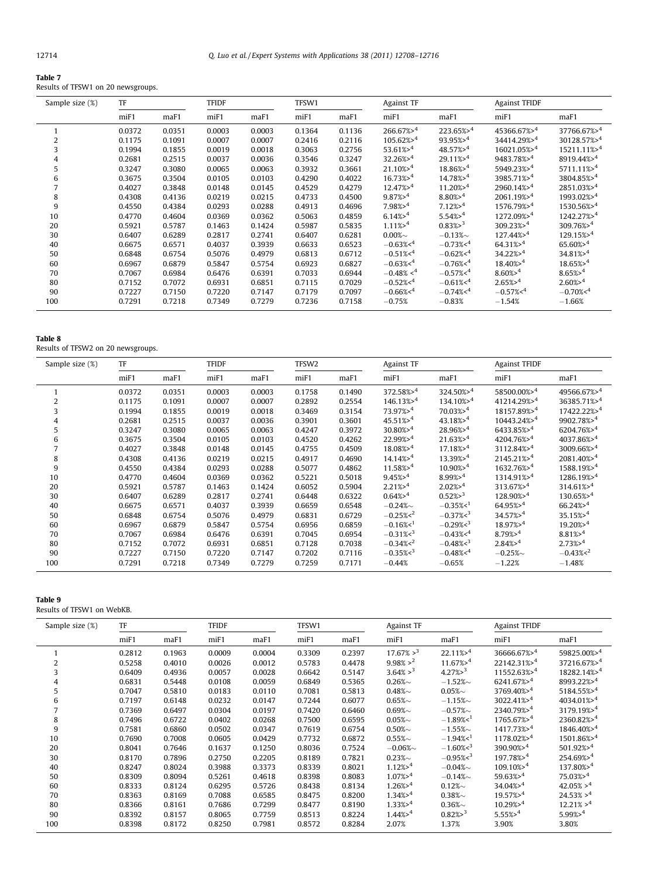|--|--|

Results of TFSW1 on 20 newsgroups.

| Sample size (%) | TF     |        | <b>TFIDF</b> |        | TFSW1  |        | <b>Against TF</b>      |                        | <b>Against TFIDF</b>      |                           |
|-----------------|--------|--------|--------------|--------|--------|--------|------------------------|------------------------|---------------------------|---------------------------|
|                 | miF1   | maF1   | $m$ iF1      | maF1   | miF1   | maF1   | $m$ iF1                | maF1                   | miF1                      | maF1                      |
|                 | 0.0372 | 0.0351 | 0.0003       | 0.0003 | 0.1364 | 0.1136 | $266.67\% > 4$         | $223.65\% > 4$         | 45366.67%>4               | 37766.67%>4               |
| 2               | 0.1175 | 0.1091 | 0.0007       | 0.0007 | 0.2416 | 0.2116 | $105.62\% > 4$         | 93.95%>4               | 34414.29%>4               | 30128.57%>4               |
| 3               | 0.1994 | 0.1855 | 0.0019       | 0.0018 | 0.3063 | 0.2756 | $53.61\% > ^4$         | $48.57\%$ <sup>4</sup> | $16021.05\%$ <sup>4</sup> | $15211.11\%$ <sup>4</sup> |
| 4               | 0.2681 | 0.2515 | 0.0037       | 0.0036 | 0.3546 | 0.3247 | $32.26\% > 4$          | $29.11\%$ <sup>4</sup> | 9483.78%>4                | 8919.44%>4                |
| 5               | 0.3247 | 0.3080 | 0.0065       | 0.0063 | 0.3932 | 0.3661 | $21.10\% > 4$          | $18.86\%$ <sup>4</sup> | 5949.23%>4                | $5711.11\%$ <sup>4</sup>  |
| 6               | 0.3675 | 0.3504 | 0.0105       | 0.0103 | 0.4290 | 0.4022 | $16.73\%$ <sup>4</sup> | $14.78\%$ <sup>4</sup> | $3985.71%^{4}$            | $3804.85\%$ <sup>4</sup>  |
|                 | 0.4027 | 0.3848 | 0.0148       | 0.0145 | 0.4529 | 0.4279 | $12.47\% > 4$          | $11.20\% > 4$          | $2960.14\%$ <sup>4</sup>  | $2851.03\%$ <sup>4</sup>  |
| 8               | 0.4308 | 0.4136 | 0.0219       | 0.0215 | 0.4733 | 0.4500 | $9.87\% > 4$           | $8.80\% > 4$           | 2061.19% > 4              | 1993.02%>4                |
| 9               | 0.4550 | 0.4384 | 0.0293       | 0.0288 | 0.4913 | 0.4696 | $7.98\%$ <sup>4</sup>  | $7.12\% > 4$           | 1576.79%>4                | 1530.56%>4                |
| 10              | 0.4770 | 0.4604 | 0.0369       | 0.0362 | 0.5063 | 0.4859 | $6.14\%$ <sup>4</sup>  | $5.54\%$ <sup>4</sup>  | $1272.09%^{4}$            | $1242.27\%$ <sup>4</sup>  |
| 20              | 0.5921 | 0.5787 | 0.1463       | 0.1424 | 0.5987 | 0.5835 | $1.11\%$ <sup>4</sup>  | $0.83\frac{3}{2}$      | $309.23\%$ <sup>4</sup>   | $309.76\%$ <sup>4</sup>   |
| 30              | 0.6407 | 0.6289 | 0.2817       | 0.2741 | 0.6407 | 0.6281 | $0.00\%$ ~             | $-0.13%$               | $127.44\%$ <sup>4</sup>   | $129.15\%$ <sup>4</sup>   |
| 40              | 0.6675 | 0.6571 | 0.4037       | 0.3939 | 0.6633 | 0.6523 | $-0.63\%4$             | $-0.73\%4$             | $64.31\% > 4$             | $65.60\% > ^4$            |
| 50              | 0.6848 | 0.6754 | 0.5076       | 0.4979 | 0.6813 | 0.6712 | $-0.51\%4$             | $-0.62%4$              | $34.22\% > 4$             | $34.81\% > 4$             |
| 60              | 0.6967 | 0.6879 | 0.5847       | 0.5754 | 0.6923 | 0.6827 | $-0.63\%4$             | $-0.76\%4$             | $18.40\% > 4$             | $18.65\% > 4$             |
| 70              | 0.7067 | 0.6984 | 0.6476       | 0.6391 | 0.7033 | 0.6944 | $-0.48\% 4$            | $-0.57\%4$             | $8.60\%$ <sup>4</sup>     | $8.65\% > 4$              |
| 80              | 0.7152 | 0.7072 | 0.6931       | 0.6851 | 0.7115 | 0.7029 | $-0.52\%4$             | $-0.61\%4$             | $2.65\% > 4$              | $2.60\% > 4$              |
| 90              | 0.7227 | 0.7150 | 0.7220       | 0.7147 | 0.7179 | 0.7097 | $-0.66\%4$             | $-0.74%4$              | $-0.57\%4$                | $-0.70\%4$                |
| 100             | 0.7291 | 0.7218 | 0.7349       | 0.7279 | 0.7236 | 0.7158 | $-0.75%$               | $-0.83%$               | $-1.54%$                  | $-1.66%$                  |

Table 8

Results of TFSW2 on 20 newsgroups.

| Sample size (%) | TF     |        | <b>TFIDF</b> |        | TFSW2  |        | <b>Against TF</b>       |                        | <b>Against TFIDF</b>      |                          |
|-----------------|--------|--------|--------------|--------|--------|--------|-------------------------|------------------------|---------------------------|--------------------------|
|                 | miF1   | maF1   | miF1         | maF1   | miF1   | maF1   | miF1                    | maF1                   | miF1                      | maF1                     |
|                 | 0.0372 | 0.0351 | 0.0003       | 0.0003 | 0.1758 | 0.1490 | $372.58\% > 4$          | $324.50\% > 4$         | 58500.00%>4               | 49566.67%>4              |
| 2               | 0.1175 | 0.1091 | 0.0007       | 0.0007 | 0.2892 | 0.2554 | $146.13\%$ <sup>4</sup> | $134.10\% > ^4$        | 41214.29%>4               | 36385.71%>4              |
| 3               | 0.1994 | 0.1855 | 0.0019       | 0.0018 | 0.3469 | 0.3154 | $73.97\%$ <sup>4</sup>  | $70.03\%$ <sup>4</sup> | 18157.89%>4               | 17422.22%>4              |
| 4               | 0.2681 | 0.2515 | 0.0037       | 0.0036 | 0.3901 | 0.3601 | $45.51\% > ^4$          | $43.18\%^{4}$          | $10443.24\%$ <sup>4</sup> | $9902.78\%^{4}$          |
| 5               | 0.3247 | 0.3080 | 0.0065       | 0.0063 | 0.4247 | 0.3972 | $30.80\%$ <sup>4</sup>  | $28.96\% > 4$          | $6433.85\%$ <sup>4</sup>  | $6204.76\%$ <sup>4</sup> |
| 6               | 0.3675 | 0.3504 | 0.0105       | 0.0103 | 0.4520 | 0.4262 | $22.99%^{4}$            | $21.63\% > 4$          | $4204.76\%$ <sup>4</sup>  | 4037.86%>4               |
| 7               | 0.4027 | 0.3848 | 0.0148       | 0.0145 | 0.4755 | 0.4509 | $18.08\frac{3}{2}$      | $17.18\% > 4$          | $3112.84\% > 4$           | 3009.66%>4               |
| 8               | 0.4308 | 0.4136 | 0.0219       | 0.0215 | 0.4917 | 0.4690 | $14.14\% > 4$           | $13.39\% > 4$          | $2145.21\%4$              | 2081.40%>4               |
| 9               | 0.4550 | 0.4384 | 0.0293       | 0.0288 | 0.5077 | 0.4862 | $11.58\frac{3}{2}$      | $10.90\%$ <sup>4</sup> | $1632.76\%$ <sup>4</sup>  | 1588.19%> <sup>4</sup>   |
| 10              | 0.4770 | 0.4604 | 0.0369       | 0.0362 | 0.5221 | 0.5018 | $9.45%^{4}$             | $8.99\% > 4$           | 1314.91%>4                | $1286.19%^{4}$           |
| 20              | 0.5921 | 0.5787 | 0.1463       | 0.1424 | 0.6052 | 0.5904 | $2.21\% > 4$            | $2.02\% > 4$           | $313.67\% > ^4$           | $314.61\%$ <sup>4</sup>  |
| 30              | 0.6407 | 0.6289 | 0.2817       | 0.2741 | 0.6448 | 0.6322 | $0.64\%$ <sup>4</sup>   | $0.52\frac{8}{3}$      | $128.90\%$ <sup>4</sup>   | $130.65\%$ <sup>4</sup>  |
| 40              | 0.6675 | 0.6571 | 0.4037       | 0.3939 | 0.6659 | 0.6548 | $-0.24%$                | $-0.35%1$              | $64.95\% > 4$             | $66.24\% > 4$            |
| 50              | 0.6848 | 0.6754 | 0.5076       | 0.4979 | 0.6831 | 0.6729 | $-0.25\%2$              | $-0.37\%3$             | $34.57\% > 4$             | 35.15%>4                 |
| 60              | 0.6967 | 0.6879 | 0.5847       | 0.5754 | 0.6956 | 0.6859 | $-0.16\%1$              | $-0.29\%3$             | $18.97\% > 4$             | $19.20\% > 4$            |
| 70              | 0.7067 | 0.6984 | 0.6476       | 0.6391 | 0.7045 | 0.6954 | $-0.31\%3$              | $-0.43\%4$             | $8.79\% > 4$              | $8.81\% > 4$             |
| 80              | 0.7152 | 0.7072 | 0.6931       | 0.6851 | 0.7128 | 0.7038 | $-0.34\%2$              | $-0.48\%3$             | $2.84\%$ <sup>4</sup>     | $2.73\% > 4$             |
| 90              | 0.7227 | 0.7150 | 0.7220       | 0.7147 | 0.7202 | 0.7116 | $-0.35\%3$              | $-0.48%4$              | $-0.25%$                  | $-0.43\%2$               |
| 100             | 0.7291 | 0.7218 | 0.7349       | 0.7279 | 0.7259 | 0.7171 | $-0.44%$                | $-0.65%$               | $-1.22%$                  | $-1.48%$                 |

# Table 9

Results of TFSW1 on WebKB.

| Sample size (%) | TF                            |        | <b>TFIDF</b> |        | TFSW1                         |        |                       | <b>Against TF</b>      |                           | <b>Against TFIDF</b>      |  |
|-----------------|-------------------------------|--------|--------------|--------|-------------------------------|--------|-----------------------|------------------------|---------------------------|---------------------------|--|
|                 | m <sub>i</sub> F <sub>1</sub> | maF1   | miF1         | maF1   | m <sub>i</sub> F <sub>1</sub> | maF1   | miF1                  | maF1                   | miF1                      | maF1                      |  |
|                 | 0.2812                        | 0.1963 | 0.0009       | 0.0004 | 0.3309                        | 0.2397 | $17.67\% >^3$         | $22.11\%^{4}$          | 36666.67%>4               | 59825.00%>4               |  |
| 2               | 0.5258                        | 0.4010 | 0.0026       | 0.0012 | 0.5783                        | 0.4478 | $9.98\% >^2$          | $11.67\%$ <sup>4</sup> | $22142.31\%$ <sup>4</sup> | $37216.67\%$ <sup>4</sup> |  |
| 3               | 0.6409                        | 0.4936 | 0.0057       | 0.0028 | 0.6642                        | 0.5147 | $3.64\% >^3$          | $4.27\%$ <sup>3</sup>  | $11552.63\%4$             | 18282.14%>4               |  |
| 4               | 0.6831                        | 0.5448 | 0.0108       | 0.0059 | 0.6849                        | 0.5365 | $0.26\%$              | $-1.52%$               | $6241.67\% > ^4$          | $8993.22\%$ <sup>4</sup>  |  |
| 5               | 0.7047                        | 0.5810 | 0.0183       | 0.0110 | 0.7081                        | 0.5813 | $0.48\%$              | $0.05\%$ ~             | 3769.40%>4                | 5184.55%>4                |  |
| 6               | 0.7197                        | 0.6148 | 0.0232       | 0.0147 | 0.7244                        | 0.6077 | $0.65\%$              | $-1.15%$               | $3022.41\% > 4$           | $4034.01\%$ <sup>4</sup>  |  |
| 7               | 0.7369                        | 0.6497 | 0.0304       | 0.0197 | 0.7420                        | 0.6460 | $0.69\%$              | $-0.57\%$ ~            | 2340.79%>4                | $3179.19%^{4}$            |  |
| 8               | 0.7496                        | 0.6722 | 0.0402       | 0.0268 | 0.7500                        | 0.6595 | $0.05\%$ ~            | $-1.89%1$              | $1765.67\%$ <sup>4</sup>  | $2360.82%^{4}$            |  |
| 9               | 0.7581                        | 0.6860 | 0.0502       | 0.0347 | 0.7619                        | 0.6754 | $0.50\%$ ~            | $-1.55\%$ ~            | $1417.73\%$ <sup>4</sup>  | $1846.40\%$ <sup>4</sup>  |  |
| 10              | 0.7690                        | 0.7008 | 0.0605       | 0.0429 | 0.7732                        | 0.6872 | $0.55\%$ ~            | $-1.94%1$              | $1178.02\%$ <sup>4</sup>  | $1501.86\%$ <sup>4</sup>  |  |
| 20              | 0.8041                        | 0.7646 | 0.1637       | 0.1250 | 0.8036                        | 0.7524 | $-0.06\%$ ~           | $-1.60\%3$             | $390.90\%$ <sup>4</sup>   | 501.92%>4                 |  |
| 30              | 0.8170                        | 0.7896 | 0.2750       | 0.2205 | 0.8189                        | 0.7821 | $0.23\%$ ~            | $-0.95\%3$             | 197.78%>4                 | $254.69%^{4}$             |  |
| 40              | 0.8247                        | 0.8024 | 0.3988       | 0.3373 | 0.8339                        | 0.8021 | $1.12\% > 4$          | $-0.04\%$              | $109.10\%$ <sup>-4</sup>  | 137.80%>4                 |  |
| 50              | 0.8309                        | 0.8094 | 0.5261       | 0.4618 | 0.8398                        | 0.8083 | $1.07\% > 4$          | $-0.14\%$              | 59.63%>4                  | $75.03\% > 4$             |  |
| 60              | 0.8333                        | 0.8124 | 0.6295       | 0.5726 | 0.8438                        | 0.8134 | $1.26\% > 4$          | $0.12\%$ ~             | $34.04\%$ <sup>4</sup>    | $42.05\% > 4$             |  |
| 70              | 0.8363                        | 0.8169 | 0.7088       | 0.6585 | 0.8475                        | 0.8200 | $1.34\%$ <sup>4</sup> | $0.38\%$               | $19.57\%$ <sup>4</sup>    | $24.53\% > 4$             |  |
| 80              | 0.8366                        | 0.8161 | 0.7686       | 0.7299 | 0.8477                        | 0.8190 | $1.33\%$ <sup>4</sup> | $0.36\%$ ~             | $10.29%^{4}$              | $12.21\% > ^4$            |  |
| 90              | 0.8392                        | 0.8157 | 0.8065       | 0.7759 | 0.8513                        | 0.8224 | $1.44\% > 4$          | $0.82\%$ <sup>3</sup>  | $5.55\%$ > <sup>4</sup>   | 5.99% > 4                 |  |
| 100             | 0.8398                        | 0.8172 | 0.8250       | 0.7981 | 0.8572                        | 0.8284 | 2.07%                 | 1.37%                  | 3.90%                     | 3.80%                     |  |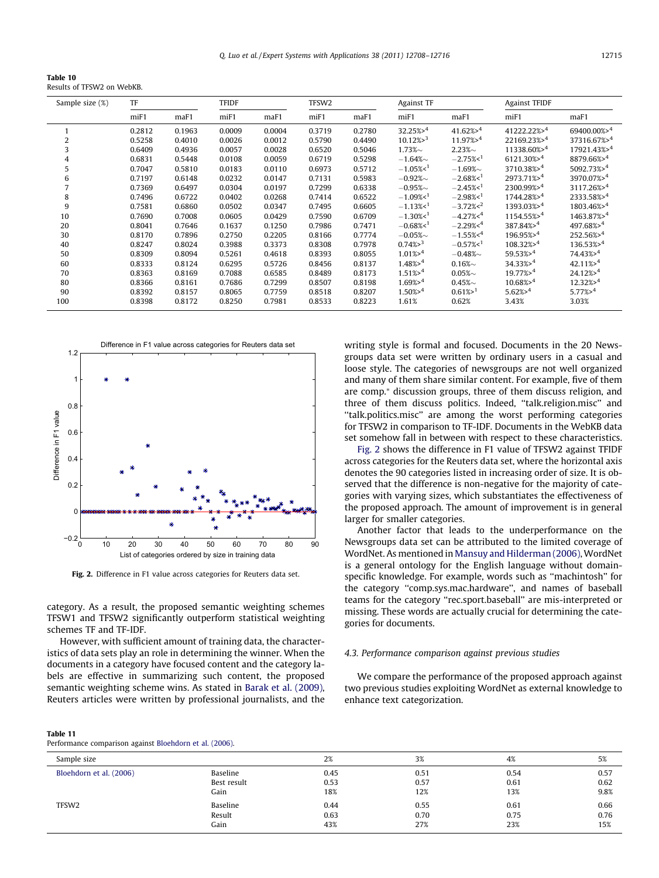<span id="page-7-0"></span>Table 10 Results of TFSW2 on WebKB.

| Sample size (%) | TF      |        | <b>TFIDF</b> |        | TFSW2   |        |                        | <b>Against TF</b>     |                             | <b>Against TFIDF</b>     |  |
|-----------------|---------|--------|--------------|--------|---------|--------|------------------------|-----------------------|-----------------------------|--------------------------|--|
|                 | $m$ iF1 | maF1   | $m$ iF1      | maF1   | $m$ iF1 | maF1   | miF1                   | maF1                  | miF1                        | maF1                     |  |
| 1               | 0.2812  | 0.1963 | 0.0009       | 0.0004 | 0.3719  | 0.2780 | $32.25\% > 4$          | $41.62\% > 4$         | $41222.22\%$ > <sup>4</sup> | 69400.00%>4              |  |
| 2               | 0.5258  | 0.4010 | 0.0026       | 0.0012 | 0.5790  | 0.4490 | $10.12\%$ <sup>3</sup> | $11.97\% > 4$         | 22169.23%>4                 | 37316.67%>4              |  |
| 3               | 0.6409  | 0.4936 | 0.0057       | 0.0028 | 0.6520  | 0.5046 | $1.73\%$ ~             | $2.23\%$ ~            | 11338.60%>4                 | 17921.43%>4              |  |
| 4               | 0.6831  | 0.5448 | 0.0108       | 0.0059 | 0.6719  | 0.5298 | $-1.64\%$              | $-2.75%1$             | $6121.30\%$ <sup>4</sup>    | $8879.66\%$ <sup>4</sup> |  |
| 5               | 0.7047  | 0.5810 | 0.0183       | 0.0110 | 0.6973  | 0.5712 | $-1.05%$ <sup>1</sup>  | $-1.69\%$             | $3710.38\%$ <sup>4</sup>    | $5092.73\%$ <sup>4</sup> |  |
| 6               | 0.7197  | 0.6148 | 0.0232       | 0.0147 | 0.7131  | 0.5983 | $-0.92\%$              | $-2.68%1$             | $2973.71\%$ <sup>4</sup>    | 3970.07%>4               |  |
|                 | 0.7369  | 0.6497 | 0.0304       | 0.0197 | 0.7299  | 0.6338 | $-0.95\%$              | $-2.45\%1$            | $2300.99\% > 4$             | $3117.26\%$ <sup>4</sup> |  |
| 8               | 0.7496  | 0.6722 | 0.0402       | 0.0268 | 0.7414  | 0.6522 | $-1.09%1$              | $-2.98%1$             | 1744.28%>4                  | 2333.58%>4               |  |
| 9               | 0.7581  | 0.6860 | 0.0502       | 0.0347 | 0.7495  | 0.6605 | $-1.13\%1$             | $-3.72\%2$            | 1393.03%>4                  | 1803.46%>4               |  |
| 10              | 0.7690  | 0.7008 | 0.0605       | 0.0429 | 0.7590  | 0.6709 | $-1.30\%1$             | $-4.27\%4$            | $1154.55\%$ <sup>4</sup>    | $1463.87\%$ <sup>4</sup> |  |
| 20              | 0.8041  | 0.7646 | 0.1637       | 0.1250 | 0.7986  | 0.7471 | $-0.68%1$              | $-2.29%4$             | 387.84%>4                   | $497.68\%$ <sup>4</sup>  |  |
| 30              | 0.8170  | 0.7896 | 0.2750       | 0.2205 | 0.8166  | 0.7774 | $-0.05\%$ ~            | $-1.55\%4$            | $196.95\%$ <sup>4</sup>     | $252.56\% > 4$           |  |
| 40              | 0.8247  | 0.8024 | 0.3988       | 0.3373 | 0.8308  | 0.7978 | $0.74\frac{8}{3}$      | $-0.57\%1$            | $108.32\%$ <sup>4</sup>     | $136.53\%$ <sup>4</sup>  |  |
| 50              | 0.8309  | 0.8094 | 0.5261       | 0.4618 | 0.8393  | 0.8055 | $1.01\% > 4$           | $-0.48\%$             | $59.53\% > 4$               | $74.43\% > 4$            |  |
| 60              | 0.8333  | 0.8124 | 0.6295       | 0.5726 | 0.8456  | 0.8137 | 1.48% > 4              | $0.16\%$ ~            | $34.33\% > 4$               | $42.11\% > 4$            |  |
| 70              | 0.8363  | 0.8169 | 0.7088       | 0.6585 | 0.8489  | 0.8173 | $1.51\% > 4$           | $0.05\%$ ~            | $19.77\%$ <sup>4</sup>      | $24.12\%$ <sup>4</sup>   |  |
| 80              | 0.8366  | 0.8161 | 0.7686       | 0.7299 | 0.8507  | 0.8198 | $1.69%^{4}$            | $0.45\%$ ~            | $10.68\%$ <sup>4</sup>      | $12.32\%$ <sup>4</sup>   |  |
| 90              | 0.8392  | 0.8157 | 0.8065       | 0.7759 | 0.8518  | 0.8207 | $1.50\%$ <sup>4</sup>  | $0.61\%$ <sup>1</sup> | $5.62\%$ <sup>4</sup>       | $5.77\% > ^4$            |  |
| 100             | 0.8398  | 0.8172 | 0.8250       | 0.7981 | 0.8533  | 0.8223 | 1.61%                  | 0.62%                 | 3.43%                       | 3.03%                    |  |



Fig. 2. Difference in F1 value across categories for Reuters data set.

category. As a result, the proposed semantic weighting schemes TFSW1 and TFSW2 significantly outperform statistical weighting schemes TF and TF-IDF.

However, with sufficient amount of training data, the characteristics of data sets play an role in determining the winner. When the documents in a category have focused content and the category labels are effective in summarizing such content, the proposed semantic weighting scheme wins. As stated in [Barak et al. \(2009\),](#page-8-0) Reuters articles were written by professional journalists, and the

# Table 11

Performance comparison against [Bloehdorn et al. \(2006\).](#page-8-0)

writing style is formal and focused. Documents in the 20 Newsgroups data set were written by ordinary users in a casual and loose style. The categories of newsgroups are not well organized and many of them share similar content. For example, five of them are comp.<sup>\*</sup> discussion groups, three of them discuss religion, and three of them discuss politics. Indeed, ''talk.religion.misc'' and ''talk.politics.misc'' are among the worst performing categories for TFSW2 in comparison to TF-IDF. Documents in the WebKB data set somehow fall in between with respect to these characteristics.

Fig. 2 shows the difference in F1 value of TFSW2 against TFIDF across categories for the Reuters data set, where the horizontal axis denotes the 90 categories listed in increasing order of size. It is observed that the difference is non-negative for the majority of categories with varying sizes, which substantiates the effectiveness of the proposed approach. The amount of improvement is in general larger for smaller categories.

Another factor that leads to the underperformance on the Newsgroups data set can be attributed to the limited coverage of WordNet. As mentioned in [Mansuy and Hilderman \(2006\),](#page-8-0) WordNet is a general ontology for the English language without domainspecific knowledge. For example, words such as ''machintosh'' for the category ''comp.sys.mac.hardware'', and names of baseball teams for the category ''rec.sport.baseball'' are mis-interpreted or missing. These words are actually crucial for determining the categories for documents.

# 4.3. Performance comparison against previous studies

We compare the performance of the proposed approach against two previous studies exploiting WordNet as external knowledge to enhance text categorization.

| Sample size             |             | 2%   | 3%   | 4%   | 5%   |
|-------------------------|-------------|------|------|------|------|
| Bloehdorn et al. (2006) | Baseline    | 0.45 | 0.51 | 0.54 | 0.57 |
|                         | Best result | 0.53 | 0.57 | 0.61 | 0.62 |
|                         | Gain        | 18%  | 12%  | 13%  | 9.8% |
| TFSW <sub>2</sub>       | Baseline    | 0.44 | 0.55 | 0.61 | 0.66 |
|                         | Result      | 0.63 | 0.70 | 0.75 | 0.76 |
|                         | Gain        | 43%  | 27%  | 23%  | 15%  |
|                         |             |      |      |      |      |